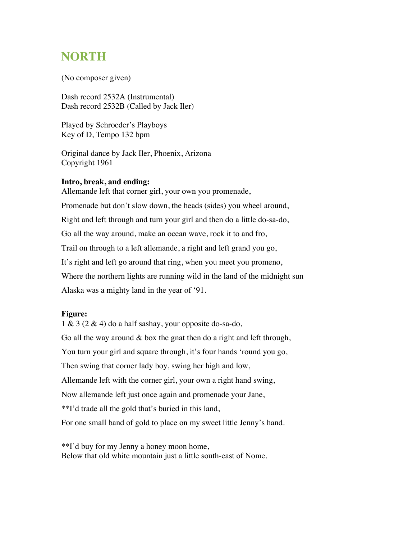## **NORTH**

(No composer given)

Dash record 2532A (Instrumental) Dash record 2532B (Called by Jack Iler)

Played by Schroeder's Playboys Key of D, Tempo 132 bpm

Original dance by Jack Iler, Phoenix, Arizona Copyright 1961

## **Intro, break, and ending:**

Allemande left that corner girl, your own you promenade, Promenade but don't slow down, the heads (sides) you wheel around, Right and left through and turn your girl and then do a little do-sa-do, Go all the way around, make an ocean wave, rock it to and fro, Trail on through to a left allemande, a right and left grand you go, It's right and left go around that ring, when you meet you promeno, Where the northern lights are running wild in the land of the midnight sun Alaska was a mighty land in the year of '91.

## **Figure:**

1 & 3 (2 & 4) do a half sashay, your opposite do-sa-do, Go all the way around  $\&$  box the gnat then do a right and left through, You turn your girl and square through, it's four hands 'round you go, Then swing that corner lady boy, swing her high and low, Allemande left with the corner girl, your own a right hand swing, Now allemande left just once again and promenade your Jane, \*\*I'd trade all the gold that's buried in this land, For one small band of gold to place on my sweet little Jenny's hand.

\*\*I'd buy for my Jenny a honey moon home, Below that old white mountain just a little south-east of Nome.